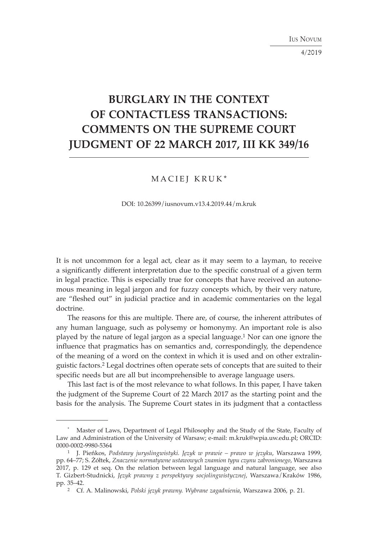IUS NOVUM

4/2019

# **BURGLARY IN THE CONTEXT OF CONTACTLESS TRANSACTIONS: COMMENTS ON THE SUPREME COURT JUDGMENT OF 22 MARCH 2017, III KK 349/16**

# MACIEJ KRUK\*

DOI: 10.26399/iusnovum.v13.4.2019.44/m.kruk

It is not uncommon for a legal act, clear as it may seem to a layman, to receive a significantly different interpretation due to the specific construal of a given term in legal practice. This is especially true for concepts that have received an autonomous meaning in legal jargon and for fuzzy concepts which, by their very nature, are "fleshed out" in judicial practice and in academic commentaries on the legal doctrine.

The reasons for this are multiple. There are, of course, the inherent attributes of any human language, such as polysemy or homonymy. An important role is also played by the nature of legal jargon as a special language.1 Nor can one ignore the influence that pragmatics has on semantics and, correspondingly, the dependence of the meaning of a word on the context in which it is used and on other extralinguistic factors.2 Legal doctrines often operate sets of concepts that are suited to their specific needs but are all but incomprehensible to average language users.

This last fact is of the most relevance to what follows. In this paper, I have taken the judgment of the Supreme Court of 22 March 2017 as the starting point and the basis for the analysis. The Supreme Court states in its judgment that a contactless

<sup>\*</sup> Master of Laws, Department of Legal Philosophy and the Study of the State, Faculty of Law and Administration of the University of Warsaw; e-mail: m.kruk@wpia.uw.edu.pl; ORCID: 0000-0002-9980-5364

<sup>1</sup> J. Pieńkos, *Podstawy juryslingwistyki. Język w prawie – prawo w języku*, Warszawa 1999, pp. 64–77; S. Żółtek, *Znaczenie normatywne ustawowych znamion typu czynu zabronionego*, Warszawa 2017, p. 129 et seq. On the relation between legal language and natural language, see also T. Gizbert-Studnicki, *Język prawny z perspektywy socjolingwistycznej*, Warszawa/Kraków 1986, pp. 35–42.

<sup>2</sup> Cf. A. Malinowski, *Polski język prawny. Wybrane zagadnienia*, Warszawa 2006, p. 21.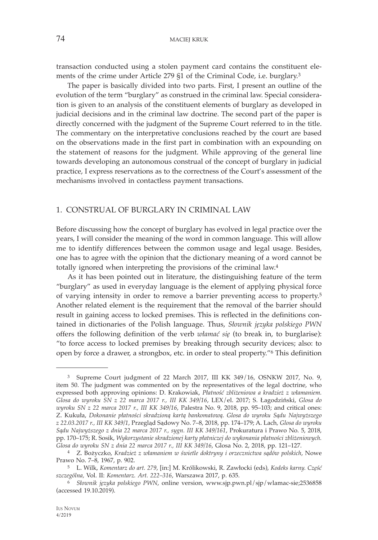transaction conducted using a stolen payment card contains the constituent elements of the crime under Article 279 §1 of the Criminal Code, i.e. burglary.3

The paper is basically divided into two parts. First, I present an outline of the evolution of the term "burglary" as construed in the criminal law. Special consideration is given to an analysis of the constituent elements of burglary as developed in judicial decisions and in the criminal law doctrine. The second part of the paper is directly concerned with the judgment of the Supreme Court referred to in the title. The commentary on the interpretative conclusions reached by the court are based on the observations made in the first part in combination with an expounding on the statement of reasons for the judgment. While approving of the general line towards developing an autonomous construal of the concept of burglary in judicial practice, I express reservations as to the correctness of the Court's assessment of the mechanisms involved in contactless payment transactions.

## 1. CONSTRUAL OF BURGLARY IN CRIMINAL LAW

Before discussing how the concept of burglary has evolved in legal practice over the years, I will consider the meaning of the word in common language. This will allow me to identify differences between the common usage and legal usage. Besides, one has to agree with the opinion that the dictionary meaning of a word cannot be totally ignored when interpreting the provisions of the criminal law.4

As it has been pointed out in literature, the distinguishing feature of the term "burglary" as used in everyday language is the element of applying physical force of varying intensity in order to remove a barrier preventing access to property.5 Another related element is the requirement that the removal of the barrier should result in gaining access to locked premises. This is reflected in the definitions contained in dictionaries of the Polish language. Thus, *Słownik języka polskiego PWN*  offers the following definition of the verb *włamać się* (to break in, to burglarise): "to force access to locked premises by breaking through security devices; also: to open by force a drawer, a strongbox, etc. in order to steal property."6 This definition

<sup>3</sup> Supreme Court judgment of 22 March 2017, III KK 349/16, OSNKW 2017, No. 9, item 50. The judgment was commented on by the representatives of the legal doctrine, who expressed both approving opinions: D. Krakowiak, *Płatność zbliżeniowa a kradzież z włamaniem. Glosa do wyroku SN z 22 marca 2017 r., III KK 349/16*, LEX/el. 2017; S. Łagodziński, *Glosa do wyroku SN z 22 marca 2017 r., III KK 349/16*, Palestra No. 9, 2018, pp. 95–103; and critical ones: Z. Kukuła, *Dokonanie płatności skradzioną kartą bankomatową. Glosa do wyroku Sądu Najwyższego z 22.03.2017 r., III KK 349/1*, Przegląd Sądowy No. 7–8, 2018, pp. 174–179; A. Lach*, Glosa do wyroku Sądu Najwyższego z dnia 22 marca 2017 r., sygn. III KK 349/161*, Prokuratura i Prawo No. 5, 2018, pp. 170–175; R. Sosik, *Wykorzystanie skradzionej karty płatniczej do wykonania płatności zbliżeniowych. Glosa do wyroku SN z dnia 22 marca 2017 r., III KK 349/16*, Glosa No. 2, 2018, pp. 121–127.

<sup>4</sup> Z. Bożyczko, *Kradzież z włamaniem w świetle doktryny i orzecznictwa sądów polskich*, Nowe Prawo No. 7–8, 1967, p. 902.

<sup>5</sup> L. Wilk, *Komentarz do art. 279*, [in:] M. Królikowski, R. Zawłocki (eds), *Kodeks karny. Część szczególna,* Vol. II: *Komentarz. Art. 222–316*, Warszawa 2017, p. 635.

<sup>6</sup> *Słownik języka polskiego PWN*, online version, www.sjp.pwn.pl/sjp/wlamac-sie;2536858 (accessed 19.10.2019).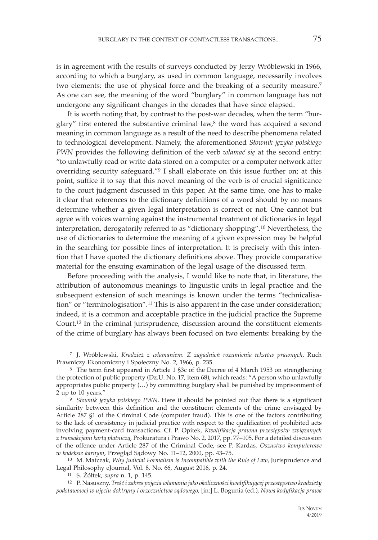is in agreement with the results of surveys conducted by Jerzy Wróblewski in 1966, according to which a burglary, as used in common language, necessarily involves two elements: the use of physical force and the breaking of a security measure.7 As one can see, the meaning of the word "burglary" in common language has not undergone any significant changes in the decades that have since elapsed.

It is worth noting that, by contrast to the post-war decades, when the term "burglary" first entered the substantive criminal law, $8$  the word has acquired a second meaning in common language as a result of the need to describe phenomena related to technological development. Namely, the aforementioned *Słownik języka polskiego PWN* provides the following definition of the verb *włamać się* at the second entry: "to unlawfully read or write data stored on a computer or a computer network after overriding security safeguard."9 I shall elaborate on this issue further on; at this point, suffice it to say that this novel meaning of the verb is of crucial significance to the court judgment discussed in this paper. At the same time, one has to make it clear that references to the dictionary definitions of a word should by no means determine whether a given legal interpretation is correct or not. One cannot but agree with voices warning against the instrumental treatment of dictionaries in legal interpretation, derogatorily referred to as "dictionary shopping".10 Nevertheless, the use of dictionaries to determine the meaning of a given expression may be helpful in the searching for possible lines of interpretation. It is precisely with this intention that I have quoted the dictionary definitions above. They provide comparative material for the ensuing examination of the legal usage of the discussed term.

Before proceeding with the analysis, I would like to note that, in literature, the attribution of autonomous meanings to linguistic units in legal practice and the subsequent extension of such meanings is known under the terms "technicalisation" or "terminologisation".11 This is also apparent in the case under consideration; indeed, it is a common and acceptable practice in the judicial practice the Supreme Court.12 In the criminal jurisprudence, discussion around the constituent elements of the crime of burglary has always been focused on two elements: breaking by the

 <sup>7</sup> J. Wróblewski, *Kradzież z włamaniem. Z zagadnień rozumienia tekstów prawnych*, Ruch

<sup>&</sup>lt;sup>8</sup> The term first appeared in Article 1 §3c of the Decree of 4 March 1953 on strengthening the protection of public property (Dz.U. No. 17, item 68), which reads: "A person who unlawfully appropriates public property (…) by committing burglary shall be punished by imprisonment of 2 up to 10 years." 9 *<sup>S</sup>łownik języka polskiego PWN*. Here it should be pointed out that there is a significant

similarity between this definition and the constituent elements of the crime envisaged by Article 287 §1 of the Criminal Code (computer fraud). This is one of the factors contributing to the lack of consistency in judicial practice with respect to the qualification of prohibited acts involving payment-card transactions. Cf. P. Opitek, *Kwalifikacja prawna przestępstw związanych z transakcjami kartą płatniczą*, Prokuratura i Prawo No. 2, 2017, pp. 77–105. For a detailed discussion of the offence under Article 287 of the Criminal Code, see P. Kardas, *Oszustwo komputerowe w kodeksie karnym*, Przegląd Sądowy No. 11–12, 2000, pp. 43–75.

<sup>10</sup> M. Matczak, *Why Judicial Formalism is Incompatible with the Rule of Law*, Jurisprudence and Legal Philosophy eJournal, Vol. 8, No. 66, August 2016, p. 24. 11 S. Żółtek, *supra* n. 1, p. 145.

<sup>12</sup> P. Nasuszny, *Treść i zakres pojęcia włamania jako okoliczności kwalifikującej przestępstwo kradzieży podstawowej w ujęciu doktryny i orzecznictwa sądowego*, [in:] L. Bogunia (ed.), *Nowa kodyfikacja prawa*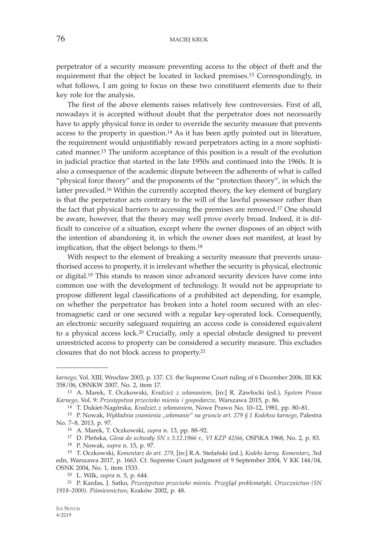perpetrator of a security measure preventing access to the object of theft and the requirement that the object be located in locked premises.13 Correspondingly, in what follows, I am going to focus on these two constituent elements due to their key role for the analysis.

The first of the above elements raises relatively few controversies. First of all, nowadays it is accepted without doubt that the perpetrator does not necessarily have to apply physical force in order to override the security measure that prevents access to the property in question.14 As it has been aptly pointed out in literature, the requirement would unjustifiably reward perpetrators acting in a more sophisticated manner.15 The uniform acceptance of this position is a result of the evolution in judicial practice that started in the late 1950s and continued into the 1960s. It is also a consequence of the academic dispute between the adherents of what is called "physical force theory" and the proponents of the "protection theory", in which the latter prevailed.16 Within the currently accepted theory, the key element of burglary is that the perpetrator acts contrary to the will of the lawful possessor rather than the fact that physical barriers to accessing the premises are removed.17 One should be aware, however, that the theory may well prove overly broad. Indeed, it is difficult to conceive of a situation, except where the owner disposes of an object with the intention of abandoning it, in which the owner does not manifest, at least by implication, that the object belongs to them.18

With respect to the element of breaking a security measure that prevents unauthorised access to property, it is irrelevant whether the security is physical, electronic or digital.19 This stands to reason since advanced security devices have come into common use with the development of technology. It would not be appropriate to propose different legal classifications of a prohibited act depending, for example, on whether the perpetrator has broken into a hotel room secured with an electromagnetic card or one secured with a regular key-operated lock. Consequently, an electronic security safeguard requiring an access code is considered equivalent to a physical access lock.20 Crucially, only a special obstacle designed to prevent unrestricted access to property can be considered a security measure. This excludes closures that do not block access to property.21

*karnego*, Vol. XIII, Wrocław 2003, p. 137. Cf. the Supreme Court ruling of 6 December 2006, III KK 358/06, OSNKW 2007, No. 2, item 17.

<sup>13</sup> A. Marek, T. Oczkowski, *Kradzież z włamaniem*, [in:] R. Zawłocki (ed.), *System Prawa Karnego*, Vol. 9: *Przestępstwa przeciwko mieniu i gospodarcze*, Warszawa 2015, p. 86.

<sup>14</sup> T. Dukiet-Nagórska, *Kradzież z włamaniem*, Nowe Prawo No. 10–12, 1981, pp. 80–81.

<sup>15</sup> P. Nowak, *Wykładnia znamienia "włamanie" na gruncie art. 279 § 1 Kodeksu karnego*, Palestra No. 7–8, 2013, p. 97.

<sup>16</sup> A. Marek, T. Oczkowski, *supra* n. 13, pp. 88–92.

<sup>17</sup> D. Pleńska, *Glosa do uchwały SN z 3.12.1966 r., VI KZP 42/66*, OSPiKA 1968, No. 2, p. 83.

<sup>18</sup> P. Nowak, *supra* n. 15, p. 97.

<sup>19</sup> T. Oczkowski, *Komentarz do art. 279*, [in:] R.A. Stefański (ed.), *Kodeks karny. Komentarz*, 3rd edn, Warszawa 2017, p. 1663. Cf. Supreme Court judgment of 9 September 2004, V KK 144/04, OSNK 2004, No. 1, item 1533. 20 L. Wilk, *supra* n. 5, p. 644.

<sup>21</sup> P. Kardas, J. Satko, *Przestępstwa przeciwko mieniu. Przegląd problematyki. Orzecznictwo (SN 1918–2000). Piśmiennictwo*, Kraków 2002, p. 48.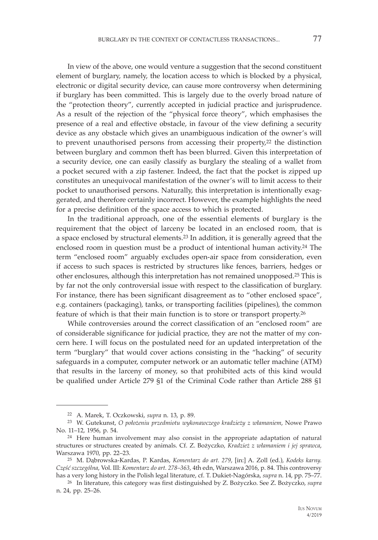In view of the above, one would venture a suggestion that the second constituent element of burglary, namely, the location access to which is blocked by a physical, electronic or digital security device, can cause more controversy when determining if burglary has been committed. This is largely due to the overly broad nature of the "protection theory", currently accepted in judicial practice and jurisprudence. As a result of the rejection of the "physical force theory", which emphasises the presence of a real and effective obstacle, in favour of the view defining a security device as any obstacle which gives an unambiguous indication of the owner's will to prevent unauthorised persons from accessing their property,22 the distinction between burglary and common theft has been blurred. Given this interpretation of a security device, one can easily classify as burglary the stealing of a wallet from a pocket secured with a zip fastener. Indeed, the fact that the pocket is zipped up constitutes an unequivocal manifestation of the owner's will to limit access to their pocket to unauthorised persons. Naturally, this interpretation is intentionally exaggerated, and therefore certainly incorrect. However, the example highlights the need for a precise definition of the space access to which is protected.

In the traditional approach, one of the essential elements of burglary is the requirement that the object of larceny be located in an enclosed room, that is a space enclosed by structural elements.23 In addition, it is generally agreed that the enclosed room in question must be a product of intentional human activity.24 The term "enclosed room" arguably excludes open-air space from consideration, even if access to such spaces is restricted by structures like fences, barriers, hedges or other enclosures, although this interpretation has not remained unopposed.25 This is by far not the only controversial issue with respect to the classification of burglary. For instance, there has been significant disagreement as to "other enclosed space", e.g. containers (packaging), tanks, or transporting facilities (pipelines), the common feature of which is that their main function is to store or transport property.26

While controversies around the correct classification of an "enclosed room" are of considerable significance for judicial practice, they are not the matter of my concern here. I will focus on the postulated need for an updated interpretation of the term "burglary" that would cover actions consisting in the "hacking" of security safeguards in a computer, computer network or an automatic teller machine (ATM) that results in the larceny of money, so that prohibited acts of this kind would be qualified under Article 279 §1 of the Criminal Code rather than Article 288 §1

<sup>22</sup> A. Marek, T. Oczkowski, *supra* n. 13, p. 89.

<sup>23</sup> W. Gutekunst, *O położeniu przedmiotu wykonawczego kradzieży z włamaniem*, Nowe Prawo No. 11–12, 1956, p. 54.

<sup>24</sup> Here human involvement may also consist in the appropriate adaptation of natural structures or structures created by animals. Cf. Z. Bożyczko, *Kradzież z włamaniem i jej sprawca*, Warszawa 1970, pp. 22–23.

<sup>25</sup> M. Dąbrowska-Kardas, P. Kardas, *Komentarz do art. 279*, [in:] A. Zoll (ed.), *Kodeks karny. Część szczególna*, Vol. III: *Komentarz do art. 278–363*, 4th edn, Warszawa 2016, p. 84. This controversy has a very long history in the Polish legal literature, cf. T. Dukiet-Nagórska, *supra* n. 14, pp. 75–77.

<sup>26</sup> In literature, this category was first distinguished by Z. Bożyczko. See Z. Bożyczko, *supra*  n. 24, pp. 25–26.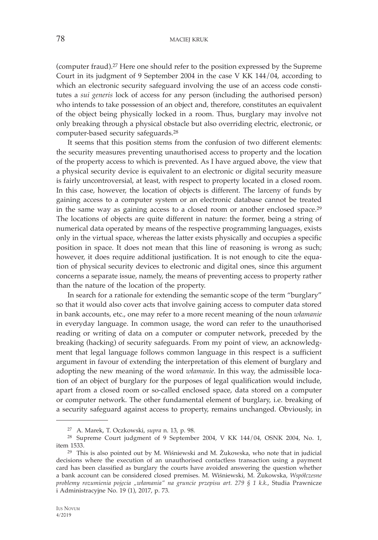## 78 MACIEJ KRUK

(computer fraud).27 Here one should refer to the position expressed by the Supreme Court in its judgment of 9 September 2004 in the case V KK 144/04, according to which an electronic security safeguard involving the use of an access code constitutes a *sui generis* lock of access for any person (including the authorised person) who intends to take possession of an object and, therefore, constitutes an equivalent of the object being physically locked in a room. Thus, burglary may involve not only breaking through a physical obstacle but also overriding electric, electronic, or computer-based security safeguards.28

It seems that this position stems from the confusion of two different elements: the security measures preventing unauthorised access to property and the location of the property access to which is prevented. As I have argued above, the view that a physical security device is equivalent to an electronic or digital security measure is fairly uncontroversial, at least, with respect to property located in a closed room. In this case, however, the location of objects is different. The larceny of funds by gaining access to a computer system or an electronic database cannot be treated in the same way as gaining access to a closed room or another enclosed space.29 The locations of objects are quite different in nature: the former, being a string of numerical data operated by means of the respective programming languages, exists only in the virtual space, whereas the latter exists physically and occupies a specific position in space. It does not mean that this line of reasoning is wrong as such; however, it does require additional justification. It is not enough to cite the equation of physical security devices to electronic and digital ones, since this argument concerns a separate issue, namely, the means of preventing access to property rather than the nature of the location of the property.

In search for a rationale for extending the semantic scope of the term "burglary" so that it would also cover acts that involve gaining access to computer data stored in bank accounts, etc., one may refer to a more recent meaning of the noun *włamanie* in everyday language. In common usage, the word can refer to the unauthorised reading or writing of data on a computer or computer network, preceded by the breaking (hacking) of security safeguards. From my point of view, an acknowledgment that legal language follows common language in this respect is a sufficient argument in favour of extending the interpretation of this element of burglary and adopting the new meaning of the word *włamanie*. In this way, the admissible location of an object of burglary for the purposes of legal qualification would include, apart from a closed room or so-called enclosed space, data stored on a computer or computer network. The other fundamental element of burglary, i.e. breaking of a security safeguard against access to property, remains unchanged. Obviously, in

<sup>27</sup> A. Marek, T. Oczkowski, *supra* n. 13, p. 98.

<sup>28</sup> Supreme Court judgment of 9 September 2004, V KK 144/04, OSNK 2004, No. 1, item 1533.

<sup>29</sup> This is also pointed out by M. Wiśniewski and M. Żukowska, who note that in judicial decisions where the execution of an unauthorised contactless transaction using a payment card has been classified as burglary the courts have avoided answering the question whether a bank account can be considered closed premises. M. Wiśniewski, M. Żukowska, *Współczesne problemy rozumienia pojęcia "włamania" na gruncie przepisu art. 279 § 1 k.k.*, Studia Prawnicze i Administracyjne No. 19 (1), 2017, p. 73.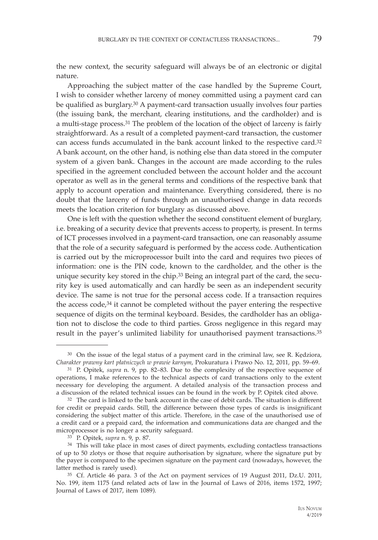the new context, the security safeguard will always be of an electronic or digital nature.

Approaching the subject matter of the case handled by the Supreme Court, I wish to consider whether larceny of money committed using a payment card can be qualified as burglary.30 A payment-card transaction usually involves four parties (the issuing bank, the merchant, clearing institutions, and the cardholder) and is a multi-stage process.31 The problem of the location of the object of larceny is fairly straightforward. As a result of a completed payment-card transaction, the customer can access funds accumulated in the bank account linked to the respective card.32 A bank account, on the other hand, is nothing else than data stored in the computer system of a given bank. Changes in the account are made according to the rules specified in the agreement concluded between the account holder and the account operator as well as in the general terms and conditions of the respective bank that apply to account operation and maintenance. Everything considered, there is no doubt that the larceny of funds through an unauthorised change in data records meets the location criterion for burglary as discussed above.

One is left with the question whether the second constituent element of burglary, i.e. breaking of a security device that prevents access to property, is present. In terms of ICT processes involved in a payment-card transaction, one can reasonably assume that the role of a security safeguard is performed by the access code. Authentication is carried out by the microprocessor built into the card and requires two pieces of information: one is the PIN code, known to the cardholder, and the other is the unique security key stored in the chip.33 Being an integral part of the card, the security key is used automatically and can hardly be seen as an independent security device. The same is not true for the personal access code. If a transaction requires the access code, $34$  it cannot be completed without the payer entering the respective sequence of digits on the terminal keyboard. Besides, the cardholder has an obligation not to disclose the code to third parties. Gross negligence in this regard may result in the payer's unlimited liability for unauthorised payment transactions.35

<sup>30</sup> On the issue of the legal status of a payment card in the criminal law, see R. Kędziora, *Charakter prawny kart płatniczych w prawie karnym*, Prokuratura i Prawo No. 12, 2011, pp. 59–69.

<sup>31</sup> P. Opitek, *supra* n. 9, pp. 82–83. Due to the complexity of the respective sequence of operations, I make references to the technical aspects of card transactions only to the extent necessary for developing the argument. A detailed analysis of the transaction process and a discussion of the related technical issues can be found in the work by P. Opitek cited above.

<sup>32</sup> The card is linked to the bank account in the case of debit cards. The situation is different for credit or prepaid cards. Still, the difference between those types of cards is insignificant considering the subject matter of this article. Therefore, in the case of the unauthorised use of a credit card or a prepaid card, the information and communications data are changed and the microprocessor is no longer a security safeguard.

<sup>33</sup> P. Opitek, *supra* n. 9, p. 87.

<sup>&</sup>lt;sup>34</sup> This will take place in most cases of direct payments, excluding contactless transactions of up to 50 zlotys or those that require authorisation by signature, where the signature put by the payer is compared to the specimen signature on the payment card (nowadays, however, the latter method is rarely used).

<sup>35</sup> Cf. Article 46 para. 3 of the Act on payment services of 19 August 2011, Dz.U. 2011, No. 199, item 1175 (and related acts of law in the Journal of Laws of 2016, items 1572, 1997; Journal of Laws of 2017, item 1089).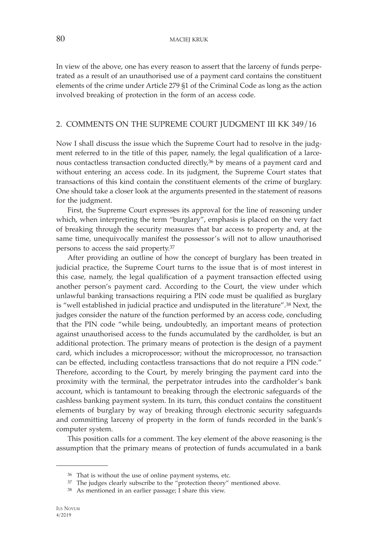In view of the above, one has every reason to assert that the larceny of funds perpetrated as a result of an unauthorised use of a payment card contains the constituent elements of the crime under Article 279 §1 of the Criminal Code as long as the action involved breaking of protection in the form of an access code.

### 2. COMMENTS ON THE SUPREME COURT JUDGMENT III KK 349/16

Now I shall discuss the issue which the Supreme Court had to resolve in the judgment referred to in the title of this paper, namely, the legal qualification of a larcenous contactless transaction conducted directly,36 by means of a payment card and without entering an access code. In its judgment, the Supreme Court states that transactions of this kind contain the constituent elements of the crime of burglary. One should take a closer look at the arguments presented in the statement of reasons for the judgment.

First, the Supreme Court expresses its approval for the line of reasoning under which, when interpreting the term "burglary", emphasis is placed on the very fact of breaking through the security measures that bar access to property and, at the same time, unequivocally manifest the possessor's will not to allow unauthorised persons to access the said property.37

After providing an outline of how the concept of burglary has been treated in judicial practice, the Supreme Court turns to the issue that is of most interest in this case, namely, the legal qualification of a payment transaction effected using another person's payment card. According to the Court, the view under which unlawful banking transactions requiring a PIN code must be qualified as burglary is "well established in judicial practice and undisputed in the literature".38 Next, the judges consider the nature of the function performed by an access code, concluding that the PIN code "while being, undoubtedly, an important means of protection against unauthorised access to the funds accumulated by the cardholder, is but an additional protection. The primary means of protection is the design of a payment card, which includes a microprocessor; without the microprocessor, no transaction can be effected, including contactless transactions that do not require a PIN code." Therefore, according to the Court, by merely bringing the payment card into the proximity with the terminal, the perpetrator intrudes into the cardholder's bank account, which is tantamount to breaking through the electronic safeguards of the cashless banking payment system. In its turn, this conduct contains the constituent elements of burglary by way of breaking through electronic security safeguards and committing larceny of property in the form of funds recorded in the bank's computer system.

This position calls for a comment. The key element of the above reasoning is the assumption that the primary means of protection of funds accumulated in a bank

<sup>36</sup> That is without the use of online payment systems, etc.

<sup>&</sup>lt;sup>37</sup> The judges clearly subscribe to the "protection theory" mentioned above.

<sup>38</sup> As mentioned in an earlier passage; I share this view.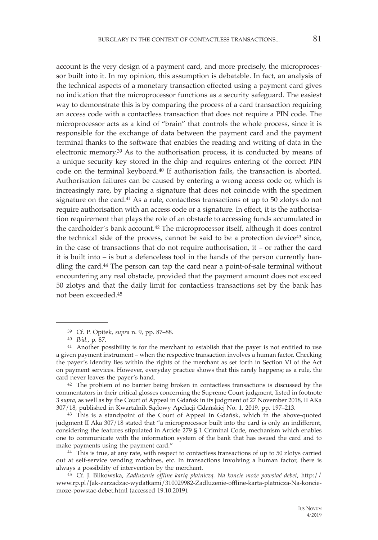account is the very design of a payment card, and more precisely, the microprocessor built into it. In my opinion, this assumption is debatable. In fact, an analysis of the technical aspects of a monetary transaction effected using a payment card gives no indication that the microprocessor functions as a security safeguard. The easiest way to demonstrate this is by comparing the process of a card transaction requiring an access code with a contactless transaction that does not require a PIN code. The microprocessor acts as a kind of "brain" that controls the whole process, since it is responsible for the exchange of data between the payment card and the payment terminal thanks to the software that enables the reading and writing of data in the electronic memory.39 As to the authorisation process, it is conducted by means of a unique security key stored in the chip and requires entering of the correct PIN code on the terminal keyboard.40 If authorisation fails, the transaction is aborted. Authorisation failures can be caused by entering a wrong access code or, which is increasingly rare, by placing a signature that does not coincide with the specimen signature on the card.41 As a rule, contactless transactions of up to 50 zlotys do not require authorisation with an access code or a signature. In effect, it is the authorisation requirement that plays the role of an obstacle to accessing funds accumulated in the cardholder's bank account.<sup>42</sup> The microprocessor itself, although it does control the technical side of the process, cannot be said to be a protection device<sup>43</sup> since, in the case of transactions that do not require authorisation, it – or rather the card it is built into – is but a defenceless tool in the hands of the person currently handling the card.44 The person can tap the card near a point-of-sale terminal without encountering any real obstacle, provided that the payment amount does not exceed 50 zlotys and that the daily limit for contactless transactions set by the bank has not been exceeded.45

42 The problem of no barrier being broken in contactless transactions is discussed by the commentators in their critical glosses concerning the Supreme Court judgment, listed in footnote 3 *supra*, as well as by the Court of Appeal in Gdańsk in its judgment of 27 November 2018, II AKa 307/18, published in Kwartalnik Sądowy Apelacji Gdańskiej No. 1, 2019, pp. 197–213.

43 This is a standpoint of the Court of Appeal in Gdańsk, which in the above-quoted judgment II Aka 307/18 stated that "a microprocessor built into the card is only an indifferent, considering the features stipulated in Article 279 § 1 Criminal Code, mechanism which enables one to communicate with the information system of the bank that has issued the card and to make payments using the payment card."

<sup>44</sup> This is true, at any rate, with respect to contactless transactions of up to 50 zlotys carried out at self-service vending machines, etc. In transactions involving a human factor, there is always a possibility of intervention by the merchant.

45 Cf. J. Blikowska, *Zadłużenie offline kartą płatniczą. Na koncie może powstać debet*, http:// www.rp.pl/Jak-zarzadzac-wydatkami/310029982-Zadluzenie-offline-karta-platnicza-Na-konciemoze-powstac-debet.html (accessed 19.10.2019).

<sup>39</sup> Cf. P. Opitek, *supra* n. 9, pp. 87–88.

<sup>40</sup> *Ibid.*, p. 87.

<sup>&</sup>lt;sup>41</sup> Another possibility is for the merchant to establish that the payer is not entitled to use a given payment instrument – when the respective transaction involves a human factor. Checking the payer's identity lies within the rights of the merchant as set forth in Section VI of the Act on payment services. However, everyday practice shows that this rarely happens; as a rule, the card never leaves the payer's hand.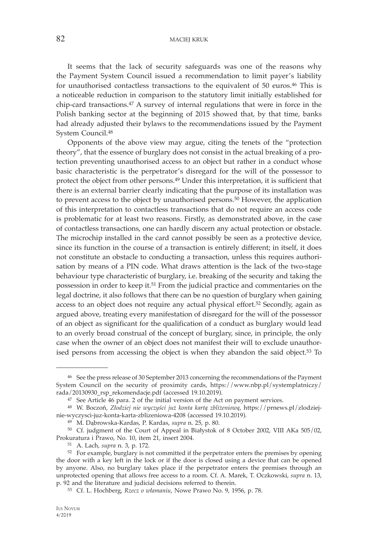82 MACIEJ KRUK

It seems that the lack of security safeguards was one of the reasons why the Payment System Council issued a recommendation to limit payer's liability for unauthorised contactless transactions to the equivalent of 50 euros.46 This is a noticeable reduction in comparison to the statutory limit initially established for chip-card transactions.47 A survey of internal regulations that were in force in the Polish banking sector at the beginning of 2015 showed that, by that time, banks had already adjusted their bylaws to the recommendations issued by the Payment System Council.48

Opponents of the above view may argue, citing the tenets of the "protection theory", that the essence of burglary does not consist in the actual breaking of a protection preventing unauthorised access to an object but rather in a conduct whose basic characteristic is the perpetrator's disregard for the will of the possessor to protect the object from other persons.49 Under this interpretation, it is sufficient that there is an external barrier clearly indicating that the purpose of its installation was to prevent access to the object by unauthorised persons.50 However, the application of this interpretation to contactless transactions that do not require an access code is problematic for at least two reasons. Firstly, as demonstrated above, in the case of contactless transactions, one can hardly discern any actual protection or obstacle. The microchip installed in the card cannot possibly be seen as a protective device, since its function in the course of a transaction is entirely different; in itself, it does not constitute an obstacle to conducting a transaction, unless this requires authorisation by means of a PIN code. What draws attention is the lack of the two-stage behaviour type characteristic of burglary, i.e. breaking of the security and taking the possession in order to keep it.51 From the judicial practice and commentaries on the legal doctrine, it also follows that there can be no question of burglary when gaining access to an object does not require any actual physical effort.52 Secondly, again as argued above, treating every manifestation of disregard for the will of the possessor of an object as significant for the qualification of a conduct as burglary would lead to an overly broad construal of the concept of burglary, since, in principle, the only case when the owner of an object does not manifest their will to exclude unauthorised persons from accessing the object is when they abandon the said object.<sup>53</sup> To

<sup>46</sup> See the press release of 30 September 2013 concerning the recommendations of the Payment System Council on the security of proximity cards, https://www.nbp.pl/systemplatniczy/ rada/20130930\_rsp\_rekomendacje.pdf (accessed 19.10.2019).

<sup>47</sup> See Article 46 para. 2 of the initial version of the Act on payment services.

<sup>48</sup> W. Boczoń, *Złodziej nie wyczyści już konta kartą zbliżeniową*, https://prnews.pl/zlodziejnie-wyczysci-juz-konta-karta-zblizeniowa-4208 (accessed 19.10.2019).

<sup>49</sup> M. Dąbrowska-Kardas, P. Kardas, *supra* n. 25, p. 80.

<sup>50</sup> Cf. judgment of the Court of Appeal in Białystok of 8 October 2002, VIII AKa 505/02, Prokuratura i Prawo, No. 10, item 21, insert 2004.

<sup>51</sup> A. Lach, *supra* n. 3, p. 172.

<sup>52</sup> For example, burglary is not committed if the perpetrator enters the premises by opening the door with a key left in the lock or if the door is closed using a device that can be opened by anyone. Also, no burglary takes place if the perpetrator enters the premises through an unprotected opening that allows free access to a room. Cf. A. Marek, T. Oczkowski, *supra* n. 13, p. 92 and the literature and judicial decisions referred to therein.

<sup>53</sup> Cf. L. Hochberg, *Rzecz o włamaniu*, Nowe Prawo No. 9, 1956, p. 78.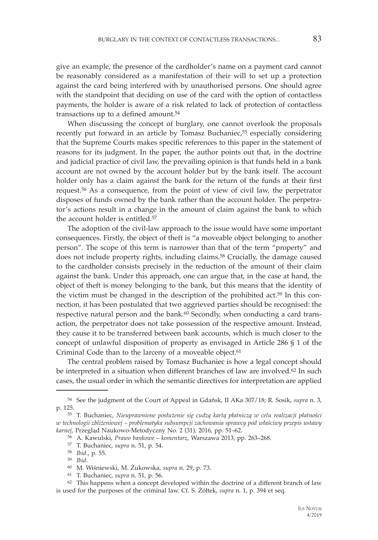give an example, the presence of the cardholder's name on a payment card cannot be reasonably considered as a manifestation of their will to set up a protection against the card being interfered with by unauthorised persons. One should agree with the standpoint that deciding on use of the card with the option of contactless payments, the holder is aware of a risk related to lack of protection of contactless transactions up to a defined amount.<sup>54</sup>

When discussing the concept of burglary, one cannot overlook the proposals recently put forward in an article by Tomasz Buchaniec,<sup>55</sup> especially considering that the Supreme Courts makes specific references to this paper in the statement of reasons for its judgment. In the paper, the author points out that, in the doctrine and judicial practice of civil law, the prevailing opinion is that funds held in a bank account are not owned by the account holder but by the bank itself. The account holder only has a claim against the bank for the return of the funds at their first request.56 As a consequence, from the point of view of civil law, the perpetrator disposes of funds owned by the bank rather than the account holder. The perpetrator's actions result in a change in the amount of claim against the bank to which the account holder is entitled.<sup>57</sup>

The adoption of the civil-law approach to the issue would have some important consequences. Firstly, the object of theft is "a moveable object belonging to another person". The scope of this term is narrower than that of the term "property" and does not include property rights, including claims.<sup>58</sup> Crucially, the damage caused to the cardholder consists precisely in the reduction of the amount of their claim against the bank. Under this approach, one can argue that, in the case at hand, the object of theft is money belonging to the bank, but this means that the identity of the victim must be changed in the description of the prohibited act.59 In this connection, it has been postulated that two aggrieved parties should be recognised: the respective natural person and the bank.<sup>60</sup> Secondly, when conducting a card transaction, the perpetrator does not take possession of the respective amount. Instead, they cause it to be transferred between bank accounts, which is much closer to the concept of unlawful disposition of property as envisaged in Article 286 § 1 of the Criminal Code than to the larceny of a moveable object.<sup>61</sup>

The central problem raised by Tomasz Buchaniec is how a legal concept should be interpreted in a situation when different branches of law are involved.<sup>62</sup> In such cases, the usual order in which the semantic directives for interpretation are applied

<sup>58</sup> *Ibid.*, p. 55.

<sup>54</sup> See the judgment of the Court of Appeal in Gdańsk, II AKa 307/18; R. Sosik, *supra* n. 3, p. 125.

<sup>55</sup> T. Buchaniec, Nieuprawnione posłużenie się cudzą kartą płatniczą w celu realizacji płatności *w technologii zbliżeniowej – problematyka subsumpcji zachowania sprawcy pod właściwy przepis ustawy karnej*, Przegląd Naukowo-Metodyczny No. 2 (31), 2016, pp. 51–62.

<sup>56</sup> A. Kawulski, *Prawo bankowe – komentarz*, Warszawa 2013, pp. 263–268.

<sup>57</sup> T. Buchaniec, *supra* n. 51, p. 54.

<sup>59</sup> *Ibid*. 60 M. Wiśniewski, M. Żukowska, *supra* n. 29, p. 73.

<sup>61</sup> T. Buchaniec, *supra* n. 51, p. 56.

<sup>62</sup> This happens when a concept developed within the doctrine of a different branch of law is used for the purposes of the criminal law. Cf. S. Żółtek, *supra* n. 1, p. 394 et seq.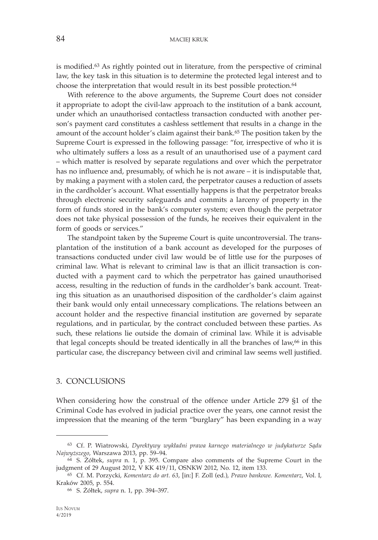is modified.63 As rightly pointed out in literature, from the perspective of criminal law, the key task in this situation is to determine the protected legal interest and to choose the interpretation that would result in its best possible protection.<sup>64</sup>

With reference to the above arguments, the Supreme Court does not consider it appropriate to adopt the civil-law approach to the institution of a bank account, under which an unauthorised contactless transaction conducted with another person's payment card constitutes a cashless settlement that results in a change in the amount of the account holder's claim against their bank.65 The position taken by the Supreme Court is expressed in the following passage: "for, irrespective of who it is who ultimately suffers a loss as a result of an unauthorised use of a payment card – which matter is resolved by separate regulations and over which the perpetrator has no influence and, presumably, of which he is not aware – it is indisputable that, by making a payment with a stolen card, the perpetrator causes a reduction of assets in the cardholder's account. What essentially happens is that the perpetrator breaks through electronic security safeguards and commits a larceny of property in the form of funds stored in the bank's computer system; even though the perpetrator does not take physical possession of the funds, he receives their equivalent in the form of goods or services."

The standpoint taken by the Supreme Court is quite uncontroversial. The transplantation of the institution of a bank account as developed for the purposes of transactions conducted under civil law would be of little use for the purposes of criminal law. What is relevant to criminal law is that an illicit transaction is conducted with a payment card to which the perpetrator has gained unauthorised access, resulting in the reduction of funds in the cardholder's bank account. Treating this situation as an unauthorised disposition of the cardholder's claim against their bank would only entail unnecessary complications. The relations between an account holder and the respective financial institution are governed by separate regulations, and in particular, by the contract concluded between these parties. As such, these relations lie outside the domain of criminal law. While it is advisable that legal concepts should be treated identically in all the branches of law,<sup>66</sup> in this particular case, the discrepancy between civil and criminal law seems well justified.

#### 3. CONCLUSIONS

When considering how the construal of the offence under Article 279 §1 of the Criminal Code has evolved in judicial practice over the years, one cannot resist the impression that the meaning of the term "burglary" has been expanding in a way

<sup>63</sup> Cf. P. Wiatrowski, *Dyrektywy wykładni prawa karnego materialnego w judykaturze Sądu* 

<sup>&</sup>lt;sup>64</sup> S. Żółtek, *supra* n. 1, p. 395. Compare also comments of the Supreme Court in the judgment of 29 August 2012, V KK 419/11, OSNKW 2012, No. 12, item 133.

<sup>65</sup> Cf. M. Porzycki, *Komentarz do art. 63*, [in:] F. Zoll (ed.), *Prawo bankowe. Komentarz*, Vol. I, Kraków 2005, p. 554.

<sup>66</sup> S. Żółtek, *supra* n. 1, pp. 394–397.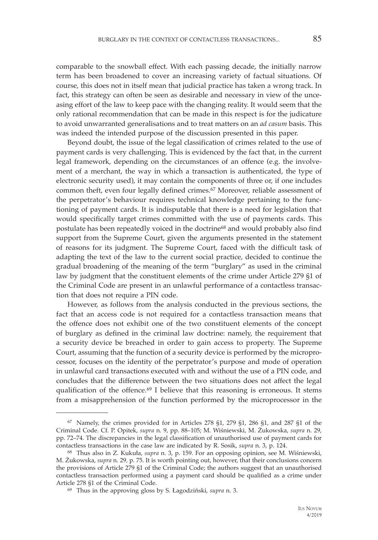comparable to the snowball effect. With each passing decade, the initially narrow term has been broadened to cover an increasing variety of factual situations. Of course, this does not in itself mean that judicial practice has taken a wrong track. In fact, this strategy can often be seen as desirable and necessary in view of the unceasing effort of the law to keep pace with the changing reality. It would seem that the only rational recommendation that can be made in this respect is for the judicature to avoid unwarranted generalisations and to treat matters on an *ad casum* basis. This was indeed the intended purpose of the discussion presented in this paper.

Beyond doubt, the issue of the legal classification of crimes related to the use of payment cards is very challenging. This is evidenced by the fact that, in the current legal framework, depending on the circumstances of an offence (e.g. the involvement of a merchant, the way in which a transaction is authenticated, the type of electronic security used), it may contain the components of three or, if one includes common theft, even four legally defined crimes.67 Moreover, reliable assessment of the perpetrator's behaviour requires technical knowledge pertaining to the functioning of payment cards. It is indisputable that there is a need for legislation that would specifically target crimes committed with the use of payments cards. This postulate has been repeatedly voiced in the doctrine<sup>68</sup> and would probably also find support from the Supreme Court, given the arguments presented in the statement of reasons for its judgment. The Supreme Court, faced with the difficult task of adapting the text of the law to the current social practice, decided to continue the gradual broadening of the meaning of the term "burglary" as used in the criminal law by judgment that the constituent elements of the crime under Article 279 §1 of the Criminal Code are present in an unlawful performance of a contactless transaction that does not require a PIN code.

However, as follows from the analysis conducted in the previous sections, the fact that an access code is not required for a contactless transaction means that the offence does not exhibit one of the two constituent elements of the concept of burglary as defined in the criminal law doctrine: namely, the requirement that a security device be breached in order to gain access to property. The Supreme Court, assuming that the function of a security device is performed by the microprocessor, focuses on the identity of the perpetrator's purpose and mode of operation in unlawful card transactions executed with and without the use of a PIN code, and concludes that the difference between the two situations does not affect the legal qualification of the offence.69 I believe that this reasoning is erroneous. It stems from a misapprehension of the function performed by the microprocessor in the

 $67$  Namely, the crimes provided for in Articles 278  $\S1$ , 279  $\S1$ , 286  $\S1$ , and 287  $\S1$  of the Criminal Code. Cf. P. Opitek, *supra* n. 9, pp. 88–105; M. Wiśniewski, M. Żukowska, *supra* n. 29, pp. 72–74. The discrepancies in the legal classification of unauthorised use of payment cards for contactless transactions in the case law are indicated by R. Sosik, *supra* n. 3, p. 124.

<sup>68</sup> Thus also in Z. Kukuła, *supra* n. 3, p. 159. For an opposing opinion, see M. Wiśniewski, M. Żukowska, *supra* n. 29*,* p. 75. It is worth pointing out, however, that their conclusions concern the provisions of Article 279 §1 of the Criminal Code; the authors suggest that an unauthorised contactless transaction performed using a payment card should be qualified as a crime under Article 278 §1 of the Criminal Code.

<sup>69</sup> Thus in the approving gloss by S. Łagodziński, *supra* n. 3.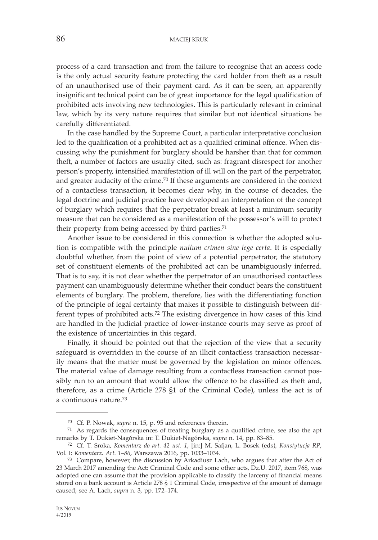## 86 MACIEJ KRUK

process of a card transaction and from the failure to recognise that an access code is the only actual security feature protecting the card holder from theft as a result of an unauthorised use of their payment card. As it can be seen, an apparently insignificant technical point can be of great importance for the legal qualification of prohibited acts involving new technologies. This is particularly relevant in criminal law, which by its very nature requires that similar but not identical situations be carefully differentiated.

In the case handled by the Supreme Court, a particular interpretative conclusion led to the qualification of a prohibited act as a qualified criminal offence. When discussing why the punishment for burglary should be harsher than that for common theft, a number of factors are usually cited, such as: fragrant disrespect for another person's property, intensified manifestation of ill will on the part of the perpetrator, and greater audacity of the crime.<sup>70</sup> If these arguments are considered in the context of a contactless transaction, it becomes clear why, in the course of decades, the legal doctrine and judicial practice have developed an interpretation of the concept of burglary which requires that the perpetrator break at least a minimum security measure that can be considered as a manifestation of the possessor's will to protect their property from being accessed by third parties.71

Another issue to be considered in this connection is whether the adopted solution is compatible with the principle *nullum crimen sine lege certa*. It is especially doubtful whether, from the point of view of a potential perpetrator, the statutory set of constituent elements of the prohibited act can be unambiguously inferred. That is to say, it is not clear whether the perpetrator of an unauthorised contactless payment can unambiguously determine whether their conduct bears the constituent elements of burglary. The problem, therefore, lies with the differentiating function of the principle of legal certainty that makes it possible to distinguish between different types of prohibited acts.72 The existing divergence in how cases of this kind are handled in the judicial practice of lower-instance courts may serve as proof of the existence of uncertainties in this regard.

Finally, it should be pointed out that the rejection of the view that a security safeguard is overridden in the course of an illicit contactless transaction necessarily means that the matter must be governed by the legislation on minor offences. The material value of damage resulting from a contactless transaction cannot possibly run to an amount that would allow the offence to be classified as theft and, therefore, as a crime (Article 278 §1 of the Criminal Code), unless the act is of a continuous nature.73

<sup>70</sup> Cf. P. Nowak, *supra* n. 15, p. 95 and references therein. 71 As regards the consequences of treating burglary as a qualified crime, see also the apt remarks by T. Dukiet-Nagórska in: T. Dukiet-Nagórska, *supra* n. 14, pp. 83–85.

<sup>72</sup> Cf. T. Sroka, *Komentarz do art. 42 ust. 1*, [in:] M. Safjan, L. Bosek (eds), *Konstytucja RP*, Vol. I: *Komentarz. Art. 1–86*, Warszawa 2016, pp. 1033–1034.

<sup>73</sup> Compare, however, the discussion by Arkadiusz Lach, who argues that after the Act of 23 March 2017 amending the Act: Criminal Code and some other acts, Dz.U. 2017, item 768, was adopted one can assume that the provision applicable to classify the larceny of financial means stored on a bank account is Article 278 § 1 Criminal Code, irrespective of the amount of damage caused; see A. Lach, *supra* n. 3, pp. 172–174.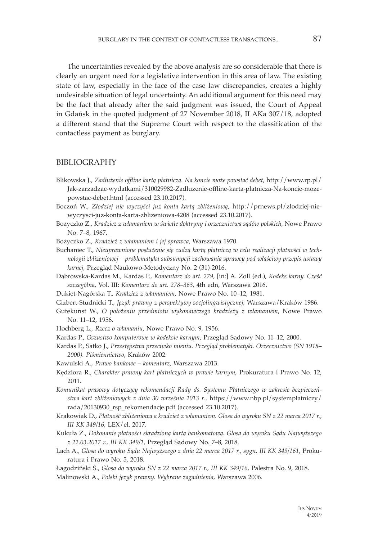The uncertainties revealed by the above analysis are so considerable that there is clearly an urgent need for a legislative intervention in this area of law. The existing state of law, especially in the face of the case law discrepancies, creates a highly undesirable situation of legal uncertainty. An additional argument for this need may be the fact that already after the said judgment was issued, the Court of Appeal in Gdańsk in the quoted judgment of 27 November 2018, II AKa 307/18, adopted a different stand that the Supreme Court with respect to the classification of the contactless payment as burglary.

#### BIBLIOGRAPHY

- Blikowska J., *Zadłużenie offline kartą płatniczą. Na koncie może powstać debet*, http://www.rp.pl/ Jak-zarzadzac-wydatkami/310029982-Zadluzenie-offline-karta-platnicza-Na-koncie-mozepowstac-debet.html (accessed 23.10.2017).
- Boczoń W., *Złodziej nie wyczyści już konta kartą zbliżeniową*, http://prnews.pl/zlodziej-niewyczysci-juz-konta-karta-zblizeniowa-4208 (accessed 23.10.2017).
- Bożyczko Z., *Kradzież z włamaniem w świetle doktryny i orzecznictwa sądów polskich*, Nowe Prawo No. 7–8, 1967.
- Bożyczko Z., *Kradzież z włamaniem i jej sprawca*, Warszawa 1970.
- Buchaniec T., Nieuprawnione posłużenie się cudzą kartą płatniczą w celu realizacji płatności w tech*nologii zbliżeniowej – problematyka subsumpcji zachowania sprawcy pod właściwy przepis ustawy karnej*, Przegląd Naukowo-Metodyczny No. 2 (31) 2016.
- Dąbrowska-Kardas M., Kardas P., *Komentarz do art. 279*, [in:] A. Zoll (ed.), *Kodeks karny. Część szczególna*, Vol. III: *Komentarz do art. 278–363*, 4th edn, Warszawa 2016.
- Dukiet-Nagórska T., *Kradzież z włamaniem*, Nowe Prawo No. 10–12, 1981.

Gizbert-Studnicki T., *Język prawny z perspektywy socjolingwistycznej*, Warszawa/Kraków 1986.

- Gutekunst W., *O położeniu przedmiotu wykonawczego kradzieży z włamaniem*, Nowe Prawo No. 11–12, 1956.
- Hochberg L., *Rzecz o włamaniu*, Nowe Prawo No. 9, 1956.
- Kardas P., *Oszustwo komputerowe w kodeksie karnym*, Przegląd Sądowy No. 11–12, 2000.
- Kardas P., Satko J., *Przestępstwa przeciwko mieniu. Przegląd problematyki. Orzecznictwo (SN 1918– 2000). Piśmiennictwo*, Kraków 2002.
- Kawulski A., *Prawo bankowe komentarz*, Warszawa 2013.
- Kędziora R., *Charakter prawny kart płatniczych w prawie karnym*, Prokuratura i Prawo No. 12, 2011.
- *Komunikat prasowy dotyczący rekomendacji Rady ds. Systemu Płatniczego w zakresie bezpieczeństwa kart zbliżeniowych z dnia 30 września 2013 r*., https://www.nbp.pl/systemplatniczy/ rada/20130930\_rsp\_rekomendacje.pdf (accessed 23.10.2017).
- Krakowiak D., *Płatność zbliżeniowa a kradzież z włamaniem. Glosa do wyroku SN z 22 marca 2017 r., III KK 349/16*, LEX/el. 2017.
- Kukuła Z., *Dokonanie płatności skradzioną kartą bankomatową. Glosa do wyroku Sądu Najwyższego z 22.03.2017 r., III KK 349/1*, Przegląd Sądowy No. 7–8, 2018.
- Lach A.*, Glosa do wyroku Sądu Najwyższego z dnia 22 marca 2017 r., sygn. III KK 349/161*, Prokuratura i Prawo No. 5, 2018.
- Łagodziński S., *Glosa do wyroku SN z 22 marca 2017 r., III KK 349/16*, Palestra No. 9, 2018. Malinowski A., *Polski język prawny. Wybrane zagadnienia*, Warszawa 2006.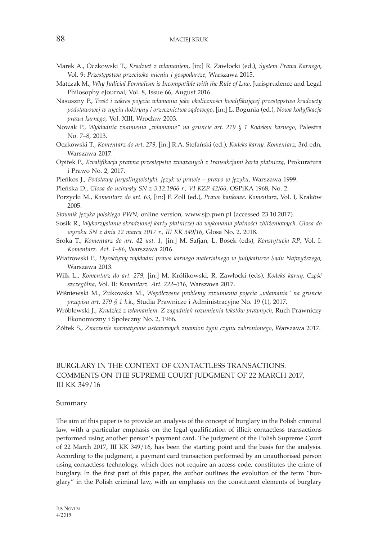- Marek A., Oczkowski T., *Kradzież z włamaniem*, [in:] R. Zawłocki (ed.), *System Prawa Karnego*, Vol. 9: *Przestępstwa przeciwko mieniu i gospodarcze*, Warszawa 2015.
- Matczak M., *Why Judicial Formalism is Incompatible with the Rule of Law*, Jurisprudence and Legal Philosophy eJournal, Vol. 8, Issue 66, August 2016.
- Nasuszny P., *Treść i zakres pojęcia włamania jako okoliczności kwalifikującej przestępstwo kradzieży podstawowej w ujęciu doktryny i orzecznictwa sądowego*, [in:] L. Bogunia (ed.), *Nowa kodyfikacja prawa karnego*, Vol. XIII, Wrocław 2003.
- Nowak P., *Wykładnia znamienia "włamanie" na gruncie art. 279 § 1 Kodeksu karnego*, Palestra No. 7–8, 2013.
- Oczkowski T., *Komentarz do art. 279*, [in:] R.A. Stefański (ed.), *Kodeks karny. Komentarz*, 3rd edn, Warszawa 2017.
- Opitek P., *Kwalifikacja prawna przestępstw związanych z transakcjami kartą płatniczą*, Prokuratura i Prawo No. 2, 2017.
- Pieńkos J., *Podstawy juryslingwistyki. Język w prawie prawo w języku*, Warszawa 1999.
- Pleńska D., *Glosa do uchwały SN z 3.12.1966 r., VI KZP 42/66*, OSPiKA 1968, No. 2.
- Porzycki M., *Komentarz do art. 63*, [in:] F. Zoll (ed.), *Prawo bankowe. Komentarz*, Vol. I, Kraków 2005.
- *Słownik języka polskiego PWN*, online version, www.sjp.pwn.pl (accessed 23.10.2017).
- Sosik R., *Wykorzystanie skradzionej karty płatniczej do wykonania płatności zbliżeniowych. Glosa do wyroku SN z dnia 22 marca 2017 r., III KK 349/16*, Glosa No. 2, 2018.
- Sroka T., *Komentarz do art. 42 ust. 1*, [in:] M. Safjan, L. Bosek (eds), *Konstytucja RP*, Vol. I: *Komentarz. Art. 1–86*, Warszawa 2016.
- Wiatrowski P., *Dyrektywy wykładni prawa karnego materialnego w judykaturze Sądu Najwyższego*, Warszawa 2013.
- Wilk L., *Komentarz do art. 279*, [in:] M. Królikowski, R. Zawłocki (eds), *Kodeks karny. Część szczególna*, Vol. II: *Komentarz. Art. 222–316*, Warszawa 2017.
- Wiśniewski M., Żukowska M., *Współczesne problemy rozumienia pojęcia "włamania" na gruncie przepisu art. 279 § 1 k.k*., Studia Prawnicze i Administracyjne No. 19 (1), 2017.
- Wróblewski J., *Kradzież z włamaniem. Z zagadnień rozumienia tekstów prawnych*, Ruch Prawniczy Ekonomiczny i Społeczny No. 2, 1966.
- Żółtek S., *Znaczenie normatywne ustawowych znamion typu czynu zabronionego*, Warszawa 2017.

# BURGLARY IN THE CONTEXT OF CONTACTLESS TRANSACTIONS: COMMENTS ON THE SUPREME COURT JUDGMENT OF 22 MARCH 2017, III KK 349/16

#### Summary

The aim of this paper is to provide an analysis of the concept of burglary in the Polish criminal law, with a particular emphasis on the legal qualification of illicit contactless transactions performed using another person's payment card. The judgment of the Polish Supreme Court of 22 March 2017, III KK 349/16, has been the starting point and the basis for the analysis. According to the judgment, a payment card transaction performed by an unauthorised person using contactless technology, which does not require an access code, constitutes the crime of burglary. In the first part of this paper, the author outlines the evolution of the term "burglary" in the Polish criminal law, with an emphasis on the constituent elements of burglary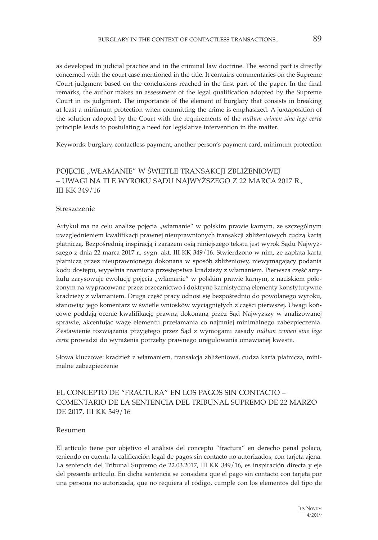as developed in judicial practice and in the criminal law doctrine. The second part is directly concerned with the court case mentioned in the title. It contains commentaries on the Supreme Court judgment based on the conclusions reached in the first part of the paper. In the final remarks, the author makes an assessment of the legal qualification adopted by the Supreme Court in its judgment. The importance of the element of burglary that consists in breaking at least a minimum protection when committing the crime is emphasized. A juxtaposition of the solution adopted by the Court with the requirements of the *nullum crimen sine lege certa* principle leads to postulating a need for legislative intervention in the matter.

Keywords: burglary, contactless payment, another person's payment card, minimum protection

# POJĘCIE "WŁAMANIE" W ŚWIETLE TRANSAKCJI ZBLIŻENIOWEJ – UWAGI NA TLE WYROKU SĄDU NAJWYŻSZEGO Z 22 MARCA 2017 R., III KK 349/16

#### Streszczenie

Artykuł ma na celu analizę pojęcia "włamanie" w polskim prawie karnym, ze szczególnym uwzględnieniem kwalifikacji prawnej nieuprawnionych transakcji zbliżeniowych cudzą kartą płatniczą. Bezpośrednią inspiracją i zarazem osią niniejszego tekstu jest wyrok Sądu Najwyższego z dnia 22 marca 2017 r., sygn. akt. III KK 349/16. Stwierdzono w nim, że zapłata kartą płatniczą przez nieuprawnionego dokonana w sposób zbliżeniowy, niewymagający podania kodu dostępu, wypełnia znamiona przestępstwa kradzieży z włamaniem. Pierwsza część artykułu zarysowuje ewolucje pojęcia "włamanie" w polskim prawie karnym, z naciskiem położonym na wypracowane przez orzecznictwo i doktrynę karnistyczną elementy konstytutywne kradzieży z włamaniem. Druga część pracy odnosi się bezpośrednio do powołanego wyroku, stanowiąc jego komentarz w świetle wniosków wyciągniętych z części pierwszej. Uwagi końcowe poddają ocenie kwalifikację prawną dokonaną przez Sąd Najwyższy w analizowanej sprawie, akcentując wagę elementu przełamania co najmniej minimalnego zabezpieczenia. Zestawienie rozwiązania przyjętego przez Sąd z wymogami zasady *nullum crimen sine lege certa* prowadzi do wyrażenia potrzeby prawnego uregulowania omawianej kwestii.

Słowa kluczowe: kradzież z włamaniem, transakcja zbliżeniowa, cudza karta płatnicza, minimalne zabezpieczenie

## EL CONCEPTO DE "FRACTURA" EN LOS PAGOS SIN CONTACTO – COMENTARIO DE LA SENTENCIA DEL TRIBUNAL SUPREMO DE 22 MARZO DE 2017, III KK 349/16

#### Resumen

El artículo tiene por objetivo el análisis del concepto "fractura" en derecho penal polaco, teniendo en cuenta la calificación legal de pagos sin contacto no autorizados, con tarjeta ajena. La sentencia del Tribunal Supremo de 22.03.2017, III KK 349/16, es inspiración directa y eje del presente artículo. En dicha sentencia se considera que el pago sin contacto con tarjeta por una persona no autorizada, que no requiera el código, cumple con los elementos del tipo de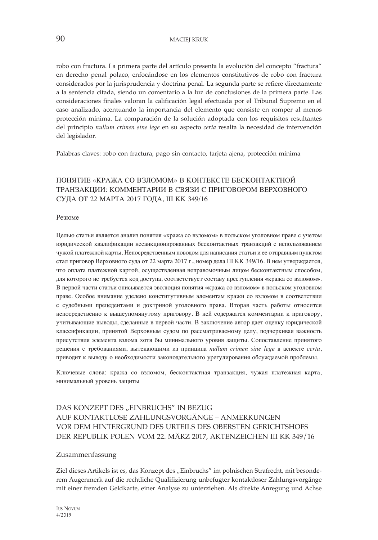robo con fractura. La primera parte del artículo presenta la evolución del concepto "fractura" en derecho penal polaco, enfocándose en los elementos constitutivos de robo con fractura considerados por la jurisprudencia y doctrina penal. La segunda parte se refiere directamente a la sentencia citada, siendo un comentario a la luz de conclusiones de la primera parte. Las consideraciones finales valoran la calificación legal efectuada por el Tribunal Supremo en el caso analizado, acentuando la importancia del elemento que consiste en romper al menos protección mínima. La comparación de la solución adoptada con los requisitos resultantes del principio *nullum crimen sine lege* en su aspecto *certa* resalta la necesidad de intervención del legislador.

Palabras claves: robo con fractura, pago sin contacto, tarjeta ajena, protección mínima

# ПОНЯТИЕ «КРАЖА СО ВЗЛОМОМ» В КОНТЕКСТЕ БЕСКОНТАКТНОЙ ТРАНЗАКЦИИ: КОММЕНТАРИИ В СВЯЗИ С ПРИГОВОРОМ ВЕРХОВНОГО СУДА ОТ 22 МАРТА 2017 ГОДА, III KK 349/16

Резюме

Целью статьи является анализ понятия «кража со взломом» в польском уголовном праве с учетом юридической квалификации несанкционированных бесконтактных транзакций с использованием чужой платежной карты. Непосредственным поводом для написания статьи и ее отправным пунктом стал приговор Верховного суда от 22 марта 2017 г., номер дела III KK 349/16. В нем утверждается, что оплата платежной картой, осуществленная неправомочным лицом бесконтактным способом, для которого не требуется код доступа, соответствует составу преступления **«**кража со взломом**»**. В первой части статьи описывается эволюция понятия **«**кража со взломом**»** в польском уголовном праве. Особое внимание уделено конститутивным элементам кражи со взломом в соответствии с судебными прецедентами и доктриной уголовного права. Вторая часть работы относится непосредственно к вышеупомянутому приговору. В ней содержатся комментарии к приговору, учитывающие выводы, сделанные в первой части. В заключение автор дает оценку юридической классификации, принятой Верховным судом по рассматриваемому делу, подчеркивая важность присутствия элемента взлома хотя бы минимального уровня защиты. Сопоставление принятого решения с требованиями, вытекающими из принципа *nullum crimen sine lege* в аспекте *certa*, приводит к выводу о необходимости законодательного урегулирования обсуждаемой проблемы.

Ключевые слова: кража со взломом, бесконтактная транзакция, чужая платежная карта, минимальный уровень защиты

# DAS KONZEPT DES "EINBRUCHS" IN BEZUG AUF KONTAKTLOSE ZAHLUNGSVORGÄNGE – ANMERKUNGEN VOR DEM HINTERGRUND DES URTEILS DES OBERSTEN GERICHTSHOFS DER REPUBLIK POLEN VOM 22. MÄRZ 2017, AKTENZEICHEN III KK 349/16

#### Zusammenfassung

Ziel dieses Artikels ist es, das Konzept des "Einbruchs" im polnischen Strafrecht, mit besonderem Augenmerk auf die rechtliche Qualifizierung unbefugter kontaktloser Zahlungsvorgänge mit einer fremden Geldkarte, einer Analyse zu unterziehen. Als direkte Anregung und Achse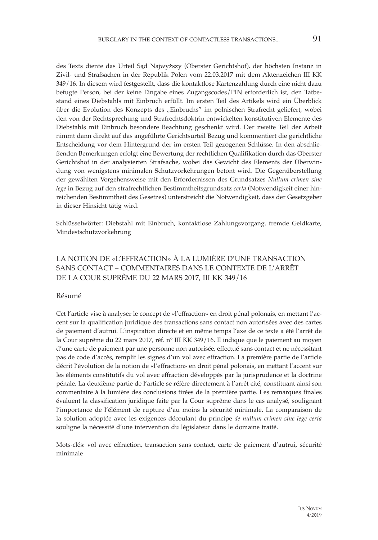des Texts diente das Urteil Sąd Najwyższy (Oberster Gerichtshof), der höchsten Instanz in Zivil- und Strafsachen in der Republik Polen vom 22.03.2017 mit dem Aktenzeichen III KK 349/16. In diesem wird festgestellt, dass die kontaktlose Kartenzahlung durch eine nicht dazu befugte Person, bei der keine Eingabe eines Zugangscodes/PIN erforderlich ist, den Tatbestand eines Diebstahls mit Einbruch erfüllt. Im ersten Teil des Artikels wird ein Überblick über die Evolution des Konzepts des "Einbruchs" im polnischen Strafrecht geliefert, wobei den von der Rechtsprechung und Strafrechtsdoktrin entwickelten konstitutiven Elemente des Diebstahls mit Einbruch besondere Beachtung geschenkt wird. Der zweite Teil der Arbeit nimmt dann direkt auf das angeführte Gerichtsurteil Bezug und kommentiert die gerichtliche Entscheidung vor dem Hintergrund der im ersten Teil gezogenen Schlüsse. In den abschließenden Bemerkungen erfolgt eine Bewertung der rechtlichen Qualifikation durch das Oberster Gerichtshof in der analysierten Strafsache, wobei das Gewicht des Elements der Überwindung von wenigstens minimalen Schutzvorkehrungen betont wird. Die Gegenüberstellung der gewählten Vorgehensweise mit den Erfordernissen des Grundsatzes *Nullum crimen sine lege* in Bezug auf den strafrechtlichen Bestimmtheitsgrundsatz *certa* (Notwendigkeit einer hinreichenden Bestimmtheit des Gesetzes) unterstreicht die Notwendigkeit, dass der Gesetzgeber in dieser Hinsicht tätig wird.

Schlüsselwörter: Diebstahl mit Einbruch, kontaktlose Zahlungsvorgang, fremde Geldkarte, Mindestschutzvorkehrung

# LA NOTION DE «L'EFFRACTION» À LA LUMIÈRE D'UNE TRANSACTION SANS CONTACT – COMMENTAIRES DANS LE CONTEXTE DE L'ARRÊT DE LA COUR SUPRÊME DU 22 MARS 2017, III KK 349/16

#### Résumé

Cet l'article vise à analyser le concept de «l'effraction» en droit pénal polonais, en mettant l'accent sur la qualification juridique des transactions sans contact non autorisées avec des cartes de paiement d'autrui. L'inspiration directe et en même temps l'axe de ce texte a été l'arrêt de la Cour suprême du 22 mars 2017, réf. n° III KK 349/16. Il indique que le paiement au moyen d'une carte de paiement par une personne non autorisée, effectué sans contact et ne nécessitant pas de code d'accès, remplit les signes d'un vol avec effraction. La première partie de l'article décrit l'évolution de la notion de «l'effraction» en droit pénal polonais, en mettant l'accent sur les éléments constitutifs du vol avec effraction développés par la jurisprudence et la doctrine pénale. La deuxième partie de l'article se réfère directement à l'arrêt cité, constituant ainsi son commentaire à la lumière des conclusions tirées de la première partie. Les remarques finales évaluent la classification juridique faite par la Cour suprême dans le cas analysé, soulignant l'importance de l'élément de rupture d'au moins la sécurité minimale. La comparaison de la solution adoptée avec les exigences découlant du principe *de nullum crimen sine lege certa* souligne la nécessité d'une intervention du législateur dans le domaine traité.

Mots-clés: vol avec effraction, transaction sans contact, carte de paiement d'autrui, sécurité minimale